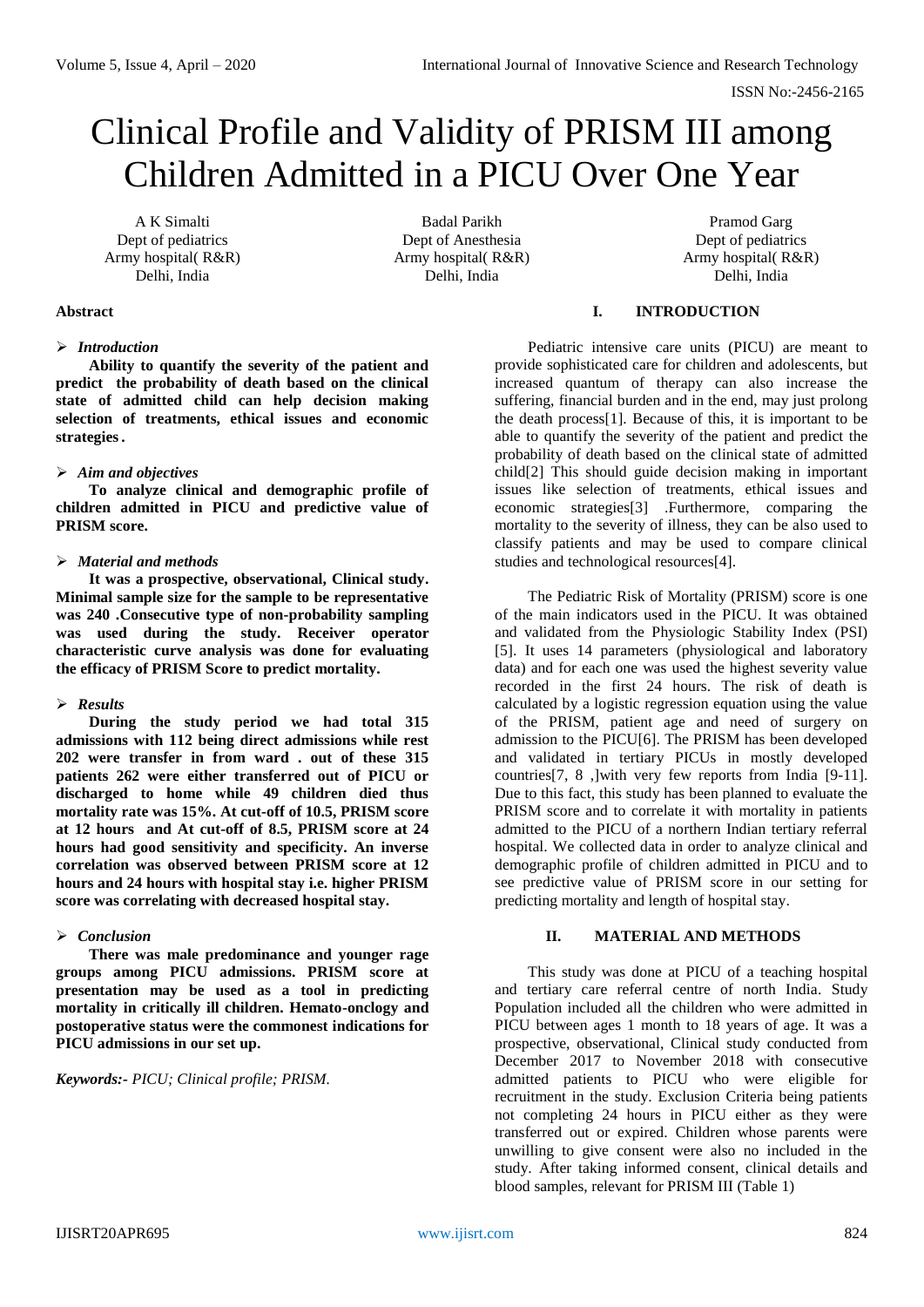# Clinical Profile and Validity of PRISM III among Children Admitted in a PICU Over One Year

A K Simalti Dept of pediatrics Army hospital( R&R) Delhi, India

Badal Parikh Dept of Anesthesia Army hospital( R&R) Delhi, India

Pramod Garg Dept of pediatrics Army hospital( R&R) Delhi, India

## **Abstract**

# *Introduction*

**Ability to quantify the severity of the patient and predict the probability of death based on the clinical state of admitted child can help decision making selection of treatments, ethical issues and economic strategies.** 

# *Aim and objectives*

**To analyze clinical and demographic profile of children admitted in PICU and predictive value of PRISM score.** 

# *Material and methods*

**It was a prospective, observational, Clinical study. Minimal sample size for the sample to be representative was 240 .Consecutive type of non-probability sampling was used during the study. Receiver operator characteristic curve analysis was done for evaluating the efficacy of PRISM Score to predict mortality.**

## *Results*

**During the study period we had total 315 admissions with 112 being direct admissions while rest 202 were transfer in from ward . out of these 315 patients 262 were either transferred out of PICU or discharged to home while 49 children died thus mortality rate was 15%. At cut-off of 10.5, PRISM score at 12 hours and At cut-off of 8.5, PRISM score at 24 hours had good sensitivity and specificity. An inverse correlation was observed between PRISM score at 12 hours and 24 hours with hospital stay i.e. higher PRISM score was correlating with decreased hospital stay.**

# *Conclusion*

**There was male predominance and younger rage groups among PICU admissions. PRISM score at presentation may be used as a tool in predicting mortality in critically ill children. Hemato-onclogy and postoperative status were the commonest indications for PICU admissions in our set up.**

*Keywords:- PICU; Clinical profile; PRISM.*

# **I. INTRODUCTION**

Pediatric intensive care units (PICU) are meant to provide sophisticated care for children and adolescents, but increased quantum of therapy can also increase the suffering, financial burden and in the end, may just prolong the death process[1]. Because of this, it is important to be able to quantify the severity of the patient and predict the probability of death based on the clinical state of admitted child[2] This should guide decision making in important issues like selection of treatments, ethical issues and economic strategies[3] .Furthermore, comparing the mortality to the severity of illness, they can be also used to classify patients and may be used to compare clinical studies and technological resources[4].

The Pediatric Risk of Mortality (PRISM) score is one of the main indicators used in the PICU. It was obtained and validated from the Physiologic Stability Index (PSI) [5]. It uses 14 parameters (physiological and laboratory data) and for each one was used the highest severity value recorded in the first 24 hours. The risk of death is calculated by a logistic regression equation using the value of the PRISM, patient age and need of surgery on admission to the PICU[6]. The PRISM has been developed and validated in tertiary PICUs in mostly developed countries[7, 8 ,]with very few reports from India [9-11]. Due to this fact, this study has been planned to evaluate the PRISM score and to correlate it with mortality in patients admitted to the PICU of a northern Indian tertiary referral hospital. We collected data in order to analyze clinical and demographic profile of children admitted in PICU and to see predictive value of PRISM score in our setting for predicting mortality and length of hospital stay.

#### **II. MATERIAL AND METHODS**

This study was done at PICU of a teaching hospital and tertiary care referral centre of north India. Study Population included all the children who were admitted in PICU between ages 1 month to 18 years of age. It was a prospective, observational, Clinical study conducted from December 2017 to November 2018 with consecutive admitted patients to PICU who were eligible for recruitment in the study. Exclusion Criteria being patients not completing 24 hours in PICU either as they were transferred out or expired. Children whose parents were unwilling to give consent were also no included in the study. After taking informed consent, clinical details and blood samples, relevant for PRISM III (Table 1)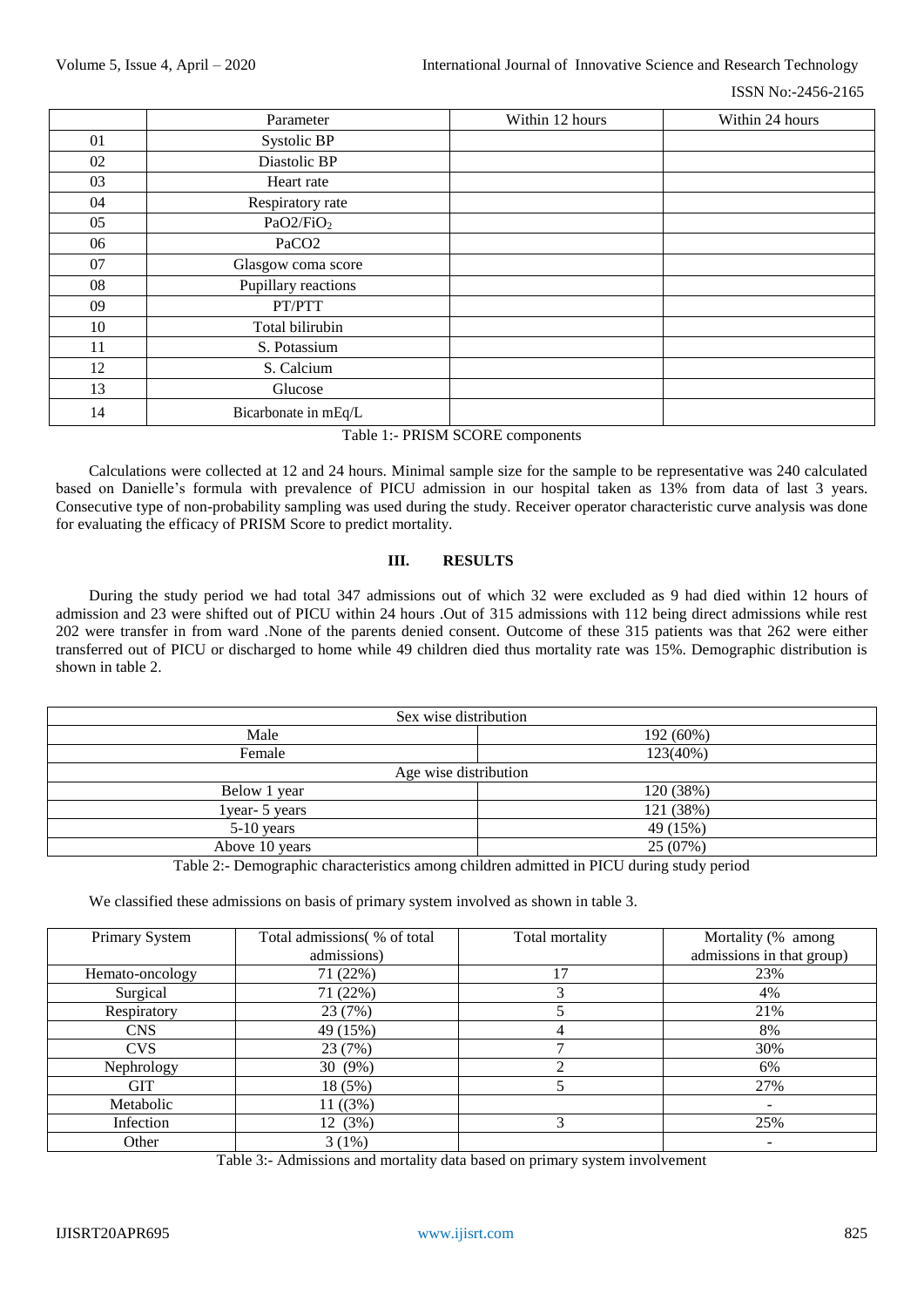|    | Parameter             | Within 12 hours | Within 24 hours |
|----|-----------------------|-----------------|-----------------|
| 01 | Systolic BP           |                 |                 |
| 02 | Diastolic BP          |                 |                 |
| 03 | Heart rate            |                 |                 |
| 04 | Respiratory rate      |                 |                 |
| 05 | PaO2/FiO <sub>2</sub> |                 |                 |
| 06 | PaCO <sub>2</sub>     |                 |                 |
| 07 | Glasgow coma score    |                 |                 |
| 08 | Pupillary reactions   |                 |                 |
| 09 | PT/PTT                |                 |                 |
| 10 | Total bilirubin       |                 |                 |
| 11 | S. Potassium          |                 |                 |
| 12 | S. Calcium            |                 |                 |
| 13 | Glucose               |                 |                 |
| 14 | Bicarbonate in mEq/L  |                 |                 |

#### Table 1:- PRISM SCORE components

Calculations were collected at 12 and 24 hours. Minimal sample size for the sample to be representative was 240 calculated based on Danielle's formula with prevalence of PICU admission in our hospital taken as 13% from data of last 3 years. Consecutive type of non-probability sampling was used during the study. Receiver operator characteristic curve analysis was done for evaluating the efficacy of PRISM Score to predict mortality.

# **III. RESULTS**

During the study period we had total 347 admissions out of which 32 were excluded as 9 had died within 12 hours of admission and 23 were shifted out of PICU within 24 hours .Out of 315 admissions with 112 being direct admissions while rest 202 were transfer in from ward .None of the parents denied consent. Outcome of these 315 patients was that 262 were either transferred out of PICU or discharged to home while 49 children died thus mortality rate was 15%. Demographic distribution is shown in table 2.

| Sex wise distribution |           |  |  |  |
|-----------------------|-----------|--|--|--|
| Male                  | 192 (60%) |  |  |  |
| Female                | 123(40%)  |  |  |  |
| Age wise distribution |           |  |  |  |
| Below 1 year          | 120 (38%) |  |  |  |
| lyear- 5 years        | 121 (38%) |  |  |  |
| $5-10$ years          | 49 (15%)  |  |  |  |
| Above 10 years        | 25 (07%)  |  |  |  |

Table 2:- Demographic characteristics among children admitted in PICU during study period

We classified these admissions on basis of primary system involved as shown in table 3.

| Primary System  | Total admissions (% of total | Total mortality | Mortality (% among        |
|-----------------|------------------------------|-----------------|---------------------------|
|                 | admissions)                  |                 | admissions in that group) |
| Hemato-oncology | 71 (22%)                     | 17              | 23%                       |
| Surgical        | 71 (22%)                     |                 | 4%                        |
| Respiratory     | 23 (7%)                      |                 | 21%                       |
| <b>CNS</b>      | 49 (15%)                     |                 | 8%                        |
| <b>CVS</b>      | 23 (7%)                      |                 | 30%                       |
| Nephrology      | 30 (9%)                      | ◠               | 6%                        |
| <b>GIT</b>      | 18 (5%)                      |                 | 27%                       |
| Metabolic       | 11 ((3%)                     |                 |                           |
| Infection       | 12 (3%)                      |                 | 25%                       |
| Other           | 3(1%)                        |                 |                           |

Table 3:- Admissions and mortality data based on primary system involvement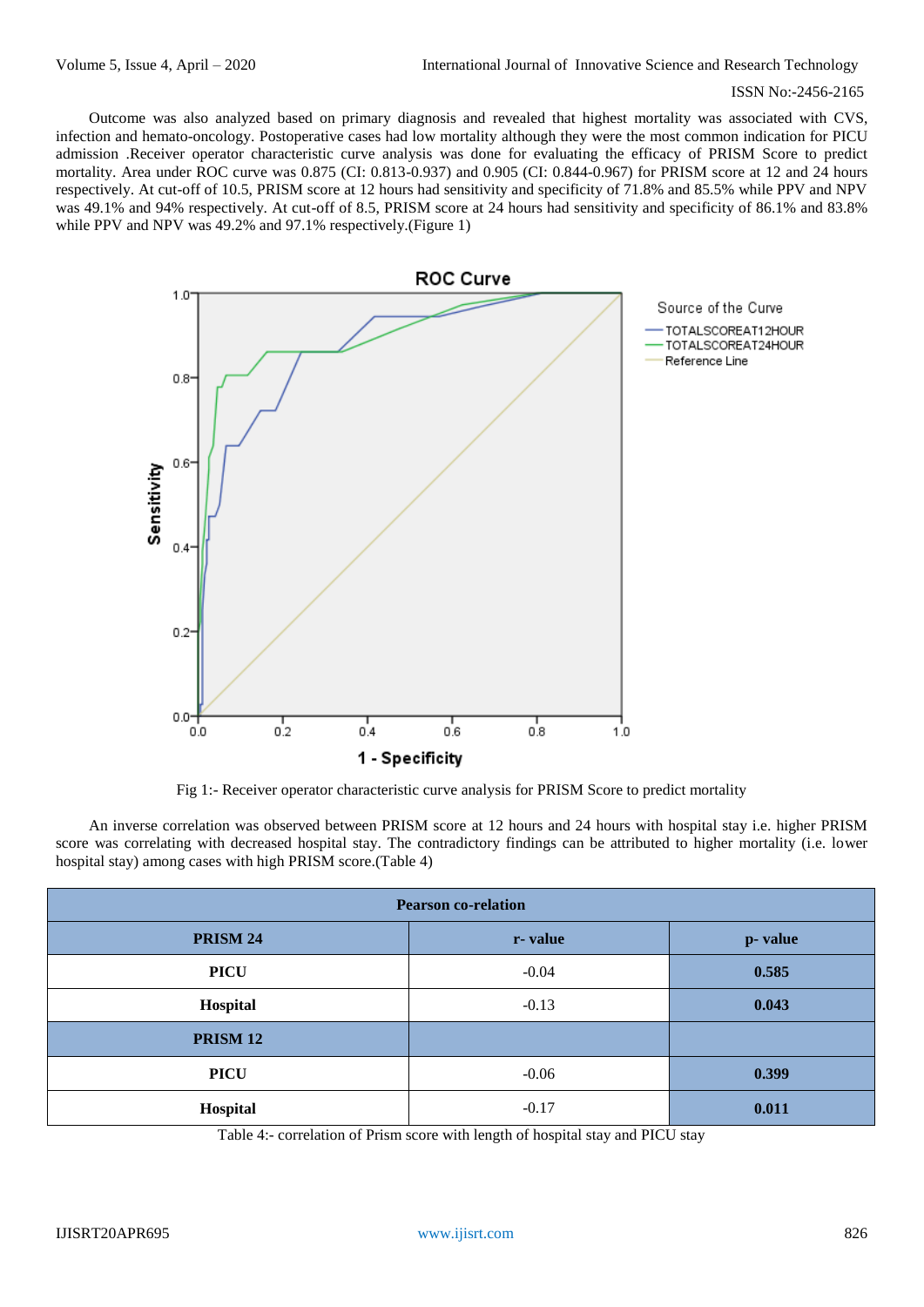Outcome was also analyzed based on primary diagnosis and revealed that highest mortality was associated with CVS, infection and hemato-oncology. Postoperative cases had low mortality although they were the most common indication for PICU admission .Receiver operator characteristic curve analysis was done for evaluating the efficacy of PRISM Score to predict mortality. Area under ROC curve was 0.875 (CI: 0.813-0.937) and 0.905 (CI: 0.844-0.967) for PRISM score at 12 and 24 hours respectively. At cut-off of 10.5, PRISM score at 12 hours had sensitivity and specificity of 71.8% and 85.5% while PPV and NPV was 49.1% and 94% respectively. At cut-off of 8.5, PRISM score at 24 hours had sensitivity and specificity of 86.1% and 83.8% while PPV and NPV was 49.2% and 97.1% respectively. (Figure 1)



Fig 1:- Receiver operator characteristic curve analysis for PRISM Score to predict mortality

An inverse correlation was observed between PRISM score at 12 hours and 24 hours with hospital stay i.e. higher PRISM score was correlating with decreased hospital stay. The contradictory findings can be attributed to higher mortality (i.e. lower hospital stay) among cases with high PRISM score.(Table 4)

| <b>Pearson co-relation</b> |         |         |  |  |
|----------------------------|---------|---------|--|--|
| PRISM 24                   | r-value | p-value |  |  |
| <b>PICU</b>                | $-0.04$ | 0.585   |  |  |
| Hospital                   | $-0.13$ | 0.043   |  |  |
| PRISM <sub>12</sub>        |         |         |  |  |
| <b>PICU</b>                | $-0.06$ | 0.399   |  |  |
| Hospital                   | $-0.17$ | 0.011   |  |  |

Table 4:- correlation of Prism score with length of hospital stay and PICU stay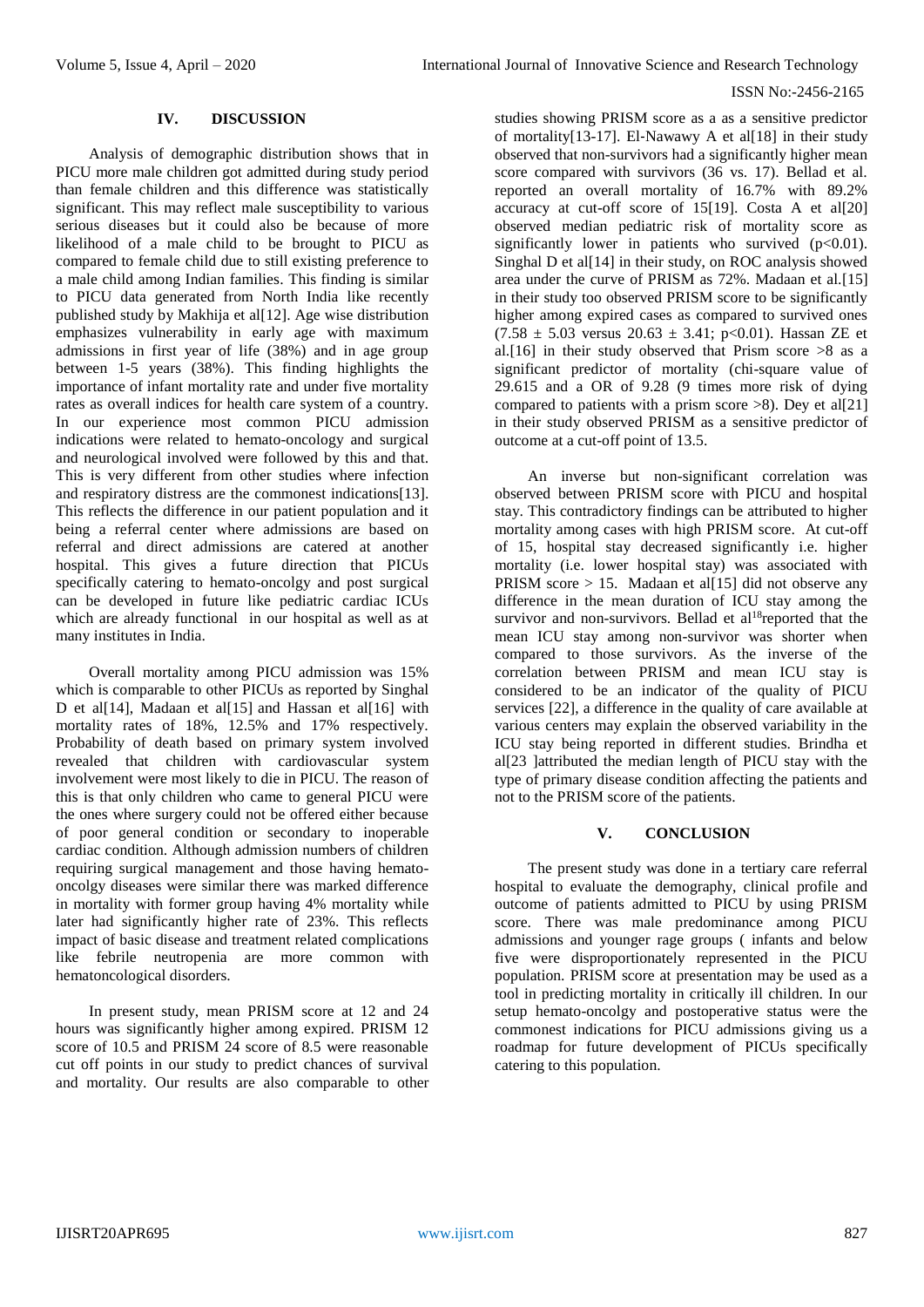# **IV. DISCUSSION**

Analysis of demographic distribution shows that in PICU more male children got admitted during study period than female children and this difference was statistically significant. This may reflect male susceptibility to various serious diseases but it could also be because of more likelihood of a male child to be brought to PICU as compared to female child due to still existing preference to a male child among Indian families. This finding is similar to PICU data generated from North India like recently published study by Makhija et al[12]. Age wise distribution emphasizes vulnerability in early age with maximum admissions in first year of life (38%) and in age group between 1-5 years (38%). This finding highlights the importance of infant mortality rate and under five mortality rates as overall indices for health care system of a country. In our experience most common PICU admission indications were related to hemato-oncology and surgical and neurological involved were followed by this and that. This is very different from other studies where infection and respiratory distress are the commonest indications[13]. This reflects the difference in our patient population and it being a referral center where admissions are based on referral and direct admissions are catered at another hospital. This gives a future direction that PICUs specifically catering to hemato-oncolgy and post surgical can be developed in future like pediatric cardiac ICUs which are already functional in our hospital as well as at many institutes in India.

Overall mortality among PICU admission was 15% which is comparable to other PICUs as reported by Singhal D et al[14], Madaan et al[15] and Hassan et al[16] with mortality rates of 18%, 12.5% and 17% respectively. Probability of death based on primary system involved revealed that children with cardiovascular system involvement were most likely to die in PICU. The reason of this is that only children who came to general PICU were the ones where surgery could not be offered either because of poor general condition or secondary to inoperable cardiac condition. Although admission numbers of children requiring surgical management and those having hematooncolgy diseases were similar there was marked difference in mortality with former group having 4% mortality while later had significantly higher rate of 23%. This reflects impact of basic disease and treatment related complications like febrile neutropenia are more common with hematoncological disorders.

In present study, mean PRISM score at 12 and 24 hours was significantly higher among expired. PRISM 12 score of 10.5 and PRISM 24 score of 8.5 were reasonable cut off points in our study to predict chances of survival and mortality. Our results are also comparable to other

studies showing PRISM score as a as a sensitive predictor of mortality[13-17]. El‐Nawawy A et al[18] in their study observed that non-survivors had a significantly higher mean score compared with survivors (36 vs. 17). Bellad et al. reported an overall mortality of 16.7% with 89.2% accuracy at cut-off score of 15[19]. Costa A et al[20] observed median pediatric risk of mortality score as significantly lower in patients who survived  $(p<0.01)$ . Singhal D et al<sup>[14]</sup> in their study, on ROC analysis showed area under the curve of PRISM as 72%. Madaan et al.[15] in their study too observed PRISM score to be significantly higher among expired cases as compared to survived ones  $(7.58 \pm 5.03$  versus  $20.63 \pm 3.41$ ; p<0.01). Hassan ZE et al.[16] in their study observed that Prism score  $>8$  as a significant predictor of mortality (chi-square value of 29.615 and a OR of 9.28 (9 times more risk of dying compared to patients with a prism score  $>8$ ). Dey et al[21] in their study observed PRISM as a sensitive predictor of outcome at a cut-off point of 13.5.

An inverse but non-significant correlation was observed between PRISM score with PICU and hospital stay. This contradictory findings can be attributed to higher mortality among cases with high PRISM score. At cut-off of 15, hospital stay decreased significantly i.e. higher mortality (i.e. lower hospital stay) was associated with PRISM score  $> 15$ . Madaan et al[15] did not observe any difference in the mean duration of ICU stay among the survivor and non-survivors. Bellad et al<sup>18</sup>reported that the mean ICU stay among non-survivor was shorter when compared to those survivors. As the inverse of the correlation between PRISM and mean ICU stay is considered to be an indicator of the quality of PICU services [22], a difference in the quality of care available at various centers may explain the observed variability in the ICU stay being reported in different studies. Brindha et al[23 ]attributed the median length of PICU stay with the type of primary disease condition affecting the patients and not to the PRISM score of the patients.

# **V. CONCLUSION**

The present study was done in a tertiary care referral hospital to evaluate the demography, clinical profile and outcome of patients admitted to PICU by using PRISM score. There was male predominance among PICU admissions and younger rage groups ( infants and below five were disproportionately represented in the PICU population. PRISM score at presentation may be used as a tool in predicting mortality in critically ill children. In our setup hemato-oncolgy and postoperative status were the commonest indications for PICU admissions giving us a roadmap for future development of PICUs specifically catering to this population.